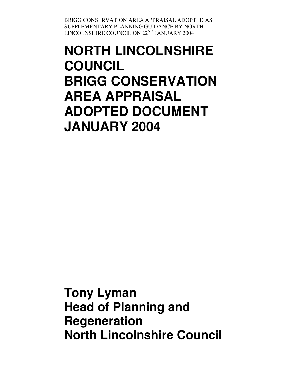# **NORTH LINCOLNSHIRE COUNCIL BRIGG CONSERVATION AREA APPRAISAL ADOPTED DOCUMENT JANUARY 2004**

**Tony Lyman Head of Planning and Regeneration North Lincolnshire Council**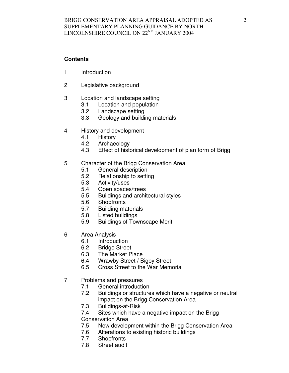# **Contents**

- 1 Introduction
- 2 Legislative background
- 3 Location and landscape setting
	- 3.1 Location and population
	- 3.2 Landscape setting
	- 3.3 Geology and building materials
- 4 History and development
	- 4.1 History
	- 4.2 Archaeology
	- 4.3 Effect of historical development of plan form of Brigg
- 5 Character of the Brigg Conservation Area
	- 5.1 General description
	- 5.2 Relationship to setting
	- 5.3 Activity/uses
	- 5.4 Open spaces/trees
	- 5.5 Buildings and architectural styles
	- 5.6 Shopfronts
	- 5.7 Building materials
	- 5.8 Listed buildings
	- 5.9 Buildings of Townscape Merit
- 6 Area Analysis
	- 6.1 Introduction
	- 6.2 Bridge Street
	- 6.3 The Market Place
	- 6.4 Wrawby Street / Bigby Street
	- 6.5 Cross Street to the War Memorial
- 7 Problems and pressures
	- 7.1 General introduction
	- 7.2 Buildings or structures which have a negative or neutral impact on the Brigg Conservation Area
	- 7.3 Buildings-at-Risk
	- 7.4 Sites which have a negative impact on the Brigg
	- Conservation Area
	- 7.5 New development within the Brigg Conservation Area
	- 7.6 Alterations to existing historic buildings
	- 7.7 Shopfronts
	- 7.8 Street audit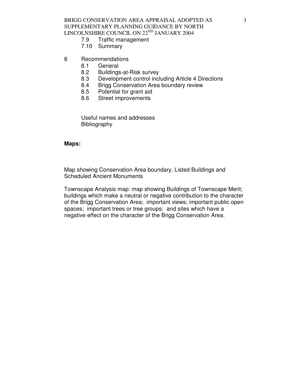BRIGG CONSERVATION AREA APPRAISAL ADOPTED AS SUPPLEMENTARY PLANNING GUIDANCE BY NORTH LINCOLNSHIRE COUNCIL ON  $22^{ND}$  JANUARY 2004<br>7.9 Traffic management

- Traffic management
- 7.10 Summary
- 8 Recommendations
	- 8.1 General
	- 8.2 Buildings-at-Risk survey
	- 8.3 Development control including Article 4 Directions
	- 8.4 Brigg Conservation Area boundary review
	- 8.5 Potential for grant aid
	- 8.6 Street improvements

 Useful names and addresses Bibliography

#### **Maps:**

Map showing Conservation Area boundary, Listed Buildings and Scheduled Ancient Monuments

Townscape Analysis map: map showing Buildings of Townscape Merit; buildings which make a neutral or negative contribution to the character of the Brigg Conservation Area; important views; important public open spaces; important trees or tree groups; and sites which have a negative effect on the character of the Brigg Conservation Area.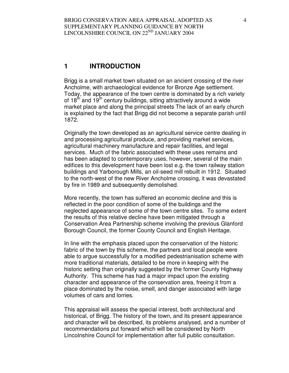# **1 INTRODUCTION**

Brigg is a small market town situated on an ancient crossing of the river Ancholme, with archaeological evidence for Bronze Age settlement. Today, the appearance of the town centre is dominated by a rich variety of  $18<sup>th</sup>$  and  $19<sup>th</sup>$  century buildings, sitting attractively around a wide market place and along the principal streets The lack of an early church is explained by the fact that Brigg did not become a separate parish until 1872.

Originally the town developed as an agricultural service centre dealing in and processing agricultural produce, and providing market services, agricultural machinery manufacture and repair facilities, and legal services. Much of the fabric associated with these uses remains and has been adapted to contemporary uses, however, several of the main edifices to this development have been lost e.g. the town railway station buildings and Yarborough Mills, an oil-seed mill rebuilt in 1912. Situated to the north-west of the new River Ancholme crossing, it was devastated by fire in 1989 and subsequently demolished.

More recently, the town has suffered an economic decline and this is reflected in the poor condition of some of the buildings and the neglected appearance of some of the town centre sites. To some extent the results of this relative decline have been mitigated through a Conservation Area Partnership scheme involving the previous Glanford Borough Council, the former County Council and English Heritage.

In line with the emphasis placed upon the conservation of the historic fabric of the town by this scheme, the partners and local people were able to argue successfully for a modified pedestrianisation scheme with more traditional materials, detailed to be more in keeping with the historic setting than originally suggested by the former County Highway Authority. This scheme has had a major impact upon the existing character and appearance of the conservation area, freeing it from a place dominated by the noise, smell, and danger associated with large volumes of cars and lorries.

This appraisal will assess the special interest, both architectural and historical, of Brigg. The history of the town, and its present appearance and character will be described, its problems analysed, and a number of recommendations put forward which will be considered by North Lincolnshire Council for implementation after full public consultation.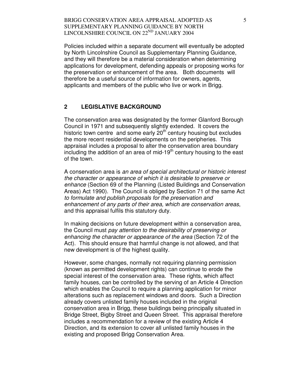Policies included within a separate document will eventually be adopted by North Lincolnshire Council as Supplementary Planning Guidance, and they will therefore be a material consideration when determining applications for development, defending appeals or proposing works for the preservation or enhancement of the area. Both documents will therefore be a useful source of information for owners, agents, applicants and members of the public who live or work in Brigg.

#### **2 LEGISLATIVE BACKGROUND**

The conservation area was designated by the former Glanford Borough Council in 1971 and subsequently slightly extended. It covers the historic town centre and some early  $20<sup>th</sup>$  century housing but excludes the more recent residential developments on the peripheries. This appraisal includes a proposal to alter the conservation area boundary including the addition of an area of mid-19<sup>th</sup> century housing to the east of the town.

A conservation area is an area of special architectural or historic interest the character or appearance of which it is desirable to preserve or enhance (Section 69 of the Planning (Listed Buildings and Conservation Areas) Act 1990). The Council is obliged by Section 71 of the same Act to formulate and publish proposals for the preservation and enhancement of any parts of their area, which are conservation areas, and this appraisal fulfils this statutory duty.

In making decisions on future development within a conservation area, the Council must pay attention to the desirability of preserving or enhancing the character or appearance of the area (Section 72 of the Act). This should ensure that harmful change is not allowed, and that new development is of the highest quality.

However, some changes, normally not requiring planning permission (known as permitted development rights) can continue to erode the special interest of the conservation area. These rights, which affect family houses, can be controlled by the serving of an Article 4 Direction which enables the Council to require a planning application for minor alterations such as replacement windows and doors. Such a Direction already covers unlisted family houses included in the original conservation area in Brigg, these buildings being principally situated in Bridge Street, Bigby Street and Queen Street. This appraisal therefore includes a recommendation for a review of the existing Article 4 Direction, and its extension to cover all unlisted family houses in the existing and proposed Brigg Conservation Area.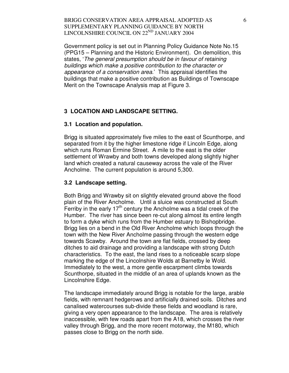Government policy is set out in Planning Policy Guidance Note No.15 (PPG15 – Planning and the Historic Environment). On demolition, this states, 'The general presumption should be in favour of retaining buildings which make a positive contribution to the character or appearance of a conservation area.' This appraisal identifies the buildings that make a positive contribution as Buildings of Townscape Merit on the Townscape Analysis map at Figure 3.

#### **3 LOCATION AND LANDSCAPE SETTING.**

#### **3.1 Location and population.**

Brigg is situated approximately five miles to the east of Scunthorpe, and separated from it by the higher limestone ridge if Lincoln Edge, along which runs Roman Ermine Street. A mile to the east is the older settlement of Wrawby and both towns developed along slightly higher land which created a natural causeway across the vale of the River Ancholme. The current population is around 5,300.

#### **3.2 Landscape setting.**

Both Brigg and Wrawby sit on slightly elevated ground above the flood plain of the River Ancholme. Until a sluice was constructed at South Ferriby in the early  $17<sup>th</sup>$  century the Ancholme was a tidal creek of the Humber. The river has since been re-cut along almost its entire length to form a dyke which runs from the Humber estuary to Bishopbridge. Brigg lies on a bend in the Old River Ancholme which loops through the town with the New River Ancholme passing through the western edge towards Scawby. Around the town are flat fields, crossed by deep ditches to aid drainage and providing a landscape with strong Dutch characteristics. To the east, the land rises to a noticeable scarp slope marking the edge of the Lincolnshire Wolds at Barnetby le Wold. Immediately to the west, a more gentle escarpment climbs towards Scunthorpe, situated in the middle of an area of uplands known as the Lincolnshire Edge.

The landscape immediately around Brigg is notable for the large, arable fields, with remnant hedgerows and artificially drained soils. Ditches and canalised watercourses sub-divide these fields and woodland is rare, giving a very open appearance to the landscape. The area is relatively inaccessible, with few roads apart from the A18, which crosses the river valley through Brigg, and the more recent motorway, the M180, which passes close to Brigg on the north side.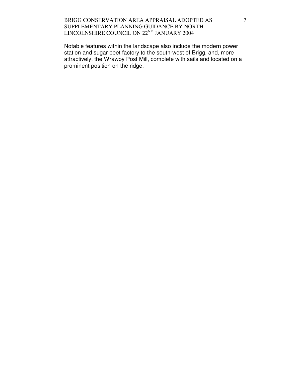Notable features within the landscape also include the modern power station and sugar beet factory to the south-west of Brigg, and, more attractively, the Wrawby Post Mill, complete with sails and located on a prominent position on the ridge.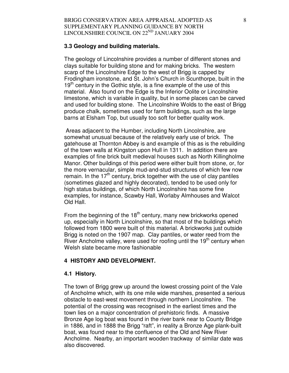#### **3.3 Geology and building materials.**

The geology of Lincolnshire provides a number of different stones and clays suitable for building stone and for making bricks. The western scarp of the Lincolnshire Edge to the west of Brigg is capped by Frodingham ironstone, and St. John's Church in Scunthorpe, built in the  $19<sup>th</sup>$  century in the Gothic style, is a fine example of the use of this material. Also found on the Edge is the Inferior Oolite or Lincolnshire limestone, which is variable in quality, but in some places can be carved and used for building stone. The Lincolnshire Wolds to the east of Brigg produce chalk, sometimes used for farm buildings, such as the large barns at Elsham Top, but usually too soft for better quality work.

 Areas adjacent to the Humber, including North Lincolnshire, are somewhat unusual because of the relatively early use of brick. The gatehouse at Thornton Abbey is and example of this as is the rebuilding of the town walls at Kingston upon Hull in 1311. In addition there are examples of fine brick built medieval houses such as North Killingholme Manor. Other buildings of this period were either built from stone, or, for the more vernacular, simple mud-and-stud structures of which few now remain. In the  $17<sup>th</sup>$  century, brick together with the use of clay pantiles (sometimes glazed and highly decorated), tended to be used only for high status buildings, of which North Lincolnshire has some fine examples, for instance, Scawby Hall, Worlaby Almhouses and Walcot Old Hall.

From the beginning of the  $18<sup>th</sup>$  century, many new brickworks opened up, especially in North Lincolnshire, so that most of the buildings which followed from 1800 were built of this material. A brickworks just outside Brigg is noted on the 1907 map. Clay pantiles, or water reed from the River Ancholme valley, were used for roofing until the  $19<sup>th</sup>$  century when Welsh slate became more fashionable

#### **4 HISTORY AND DEVELOPMENT.**

#### **4.1 History.**

The town of Brigg grew up around the lowest crossing point of the Vale of Ancholme which, with its one mile wide marshes, presented a serious obstacle to east-west movement through northern Lincolnshire. The potential of the crossing was recognised in the earliest times and the town lies on a major concentration of prehistoric finds. A massive Bronze Age log boat was found in the river bank near to County Bridge in 1886, and in 1888 the Brigg "raft", in reality a Bronze Age plank-built boat, was found near to the confluence of the Old and New River Ancholme. Nearby, an important wooden trackway of similar date was also discovered.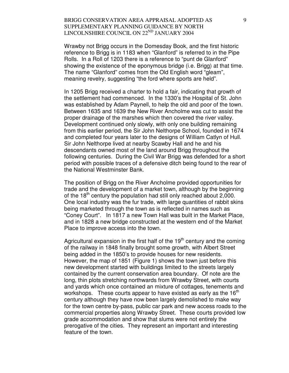Wrawby not Brigg occurs in the Domesday Book, and the first historic reference to Brigg is in 1183 when "Glanford" is referred to in the Pipe Rolls. In a Roll of 1203 there is a reference to "punt de Glanford" showing the existence of the eponymous bridge (i.e. Brigg) at that time. The name "Glanford" comes from the Old English word "gleam", meaning revelry, suggesting "the ford where sports are held".

In 1205 Brigg received a charter to hold a fair, indicating that growth of the settlement had commenced. In the 1330's the Hospital of St. John was established by Adam Paynell, to help the old and poor of the town. Between 1635 and 1639 the New River Ancholme was cut to assist the proper drainage of the marshes which then covered the river valley. Development continued only slowly, with only one building remaining from this earlier period, the Sir John Nelthorpe School, founded in 1674 and completed four years later to the designs of William Catlyn of Hull. Sir John Nelthorpe lived at nearby Scawby Hall and he and his descendants owned most of the land around Brigg throughout the following centuries. During the Civil War Brigg was defended for a short period with possible traces of a defensive ditch being found to the rear of the National Westminster Bank.

The position of Brigg on the River Ancholme provided opportunities for trade and the development of a market town, although by the beginning of the  $18^{th}$  century the population had still only reached about 2,000. One local industry was the fur trade, with large quantities of rabbit skins being marketed through the town as is reflected in names such as "Coney Court". In 1817 a new Town Hall was built in the Market Place, and in 1828 a new bridge constructed at the western end of the Market Place to improve access into the town.

Agricultural expansion in the first half of the  $19<sup>th</sup>$  century and the coming of the railway in 1848 finally brought some growth, with Albert Street being added in the 1850's to provide houses for new residents. However, the map of 1851 (Figure 1) shows the town just before this new development started with buildings limited to the streets largely contained by the current conservation area boundary. Of note are the long, thin plots stretching northwards from Wrawby Street, with courts and yards which once contained an mixture of cottages, tenements and workshops. These courts appear to have existed as early as the  $16<sup>th</sup>$ century although they have now been largely demolished to make way for the town centre by-pass, public car park and new access roads to the commercial properties along Wrawby Street. These courts provided low grade accommodation and show that slums were not entirely the prerogative of the cities. They represent an important and interesting feature of the town.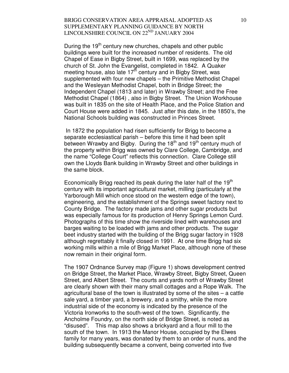During the 19<sup>th</sup> century new churches, chapels and other public buildings were built for the increased number of residents. The old Chapel of Ease in Bigby Street, built in 1699, was replaced by the church of St. John the Evangelist, completed in 1842. A Quaker meeting house, also late 17<sup>th</sup> century and in Bigby Street, was supplemented with four new chapels – the Primitive Methodist Chapel and the Wesleyan Methodist Chapel, both in Bridge Street; the Independent Chapel (1813 and later) in Wrawby Street; and the Free Methodist Chapel (1864) , also in Bigby Street. The Union Workhouse was built in 1835 on the site of Health Place, and the Police Station and Court House were added in 1845. Just after this date, in the 1850's, the National Schools building was constructed in Princes Street.

 In 1872 the population had risen sufficiently for Brigg to become a separate ecclesiastical parish – before this time it had been split between Wrawby and Bigby. During the  $18<sup>th</sup>$  and  $19<sup>th</sup>$  century much of the property within Brigg was owned by Clare College, Cambridge, and the name "College Court" reflects this connection. Clare College still own the Lloyds Bank building in Wrawby Street and other buildings in the same block.

Economically Brigg reached its peak during the later half of the  $19<sup>th</sup>$ century with its important agricultural market, milling (particularly at the Yarborough Mill which once stood on the western edge of the town), engineering, and the establishment of the Springs sweet factory next to County Bridge. The factory made jams and other sugar products but was especially famous for its production of Henry Springs Lemon Curd. Photographs of this time show the riverside lined with warehouses and barges waiting to be loaded with jams and other products. The sugar beet industry started with the building of the Brigg sugar factory in 1928 although regrettably it finally closed in 1991. At one time Brigg had six working mills within a mile of Brigg Market Place, although none of these now remain in their original form.

The 1907 Ordnance Survey map (Figure 1) shows development centred on Bridge Street, the Market Place, Wrawby Street, Bigby Street, Queen Street, and Albert Street. The courts and yards north of Wrawby Street are clearly shown with their many small cottages and a Rope Walk. The agricultural base of the town is illustrated by some of the sites – a cattle sale yard, a timber yard, a brewery, and a smithy, while the more industrial side of the economy is indicated by the presence of the Victoria Ironworks to the south-west of the town. Significantly, the Ancholme Foundry, on the north side of Bridge Street, is noted as "disused". This map also shows a brickyard and a flour mill to the south of the town. In 1913 the Manor House, occupied by the Elwes family for many years, was donated by them to an order of nuns, and the building subsequently became a convent, being converted into five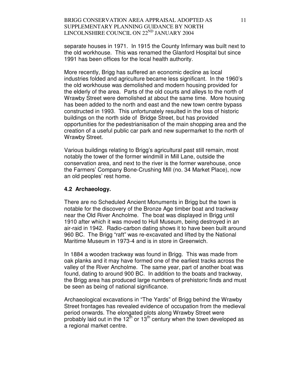separate houses in 1971. In 1915 the County Infirmary was built next to the old workhouse. This was renamed the Glanford Hospital but since 1991 has been offices for the local health authority.

More recently, Brigg has suffered an economic decline as local industries folded and agriculture became less significant. In the 1960's the old workhouse was demolished and modern housing provided for the elderly of the area. Parts of the old courts and alleys to the north of Wrawby Street were demolished at about the same time. More housing has been added to the north and east and the new town centre bypass constructed in 1993. This unfortunately resulted in the loss of historic buildings on the north side of Bridge Street, but has provided opportunities for the pedestrianisation of the main shopping area and the creation of a useful public car park and new supermarket to the north of Wrawby Street.

Various buildings relating to Brigg's agricultural past still remain, most notably the tower of the former windmill in Mill Lane, outside the conservation area, and next to the river is the former warehouse, once the Farmers' Company Bone-Crushing Mill (no. 34 Market Place), now an old peoples' rest home.

#### **4.2 Archaeology.**

There are no Scheduled Ancient Monuments in Brigg but the town is notable for the discovery of the Bronze Age timber boat and trackway near the Old River Ancholme. The boat was displayed in Brigg until 1910 after which it was moved to Hull Museum, being destroyed in an air-raid in 1942. Radio-carbon dating shows it to have been built around 960 BC. The Brigg "raft" was re-excavated and lifted by the National Maritime Museum in 1973-4 and is in store in Greenwich.

In 1884 a wooden trackway was found in Brigg. This was made from oak planks and it may have formed one of the earliest tracks across the valley of the River Ancholme. The same year, part of another boat was found, dating to around 900 BC. In addition to the boats and trackway, the Brigg area has produced large numbers of prehistoric finds and must be seen as being of national significance.

Archaeological excavations in "The Yards" of Brigg behind the Wrawby Street frontages has revealed evidence of occupation from the medieval period onwards. The elongated plots along Wrawby Street were probably laid out in the  $12^{th}$  or  $13^{th}$  century when the town developed as a regional market centre.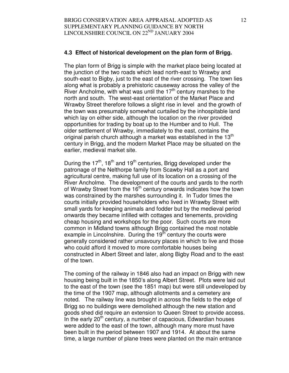## **4.3 Effect of historical development on the plan form of Brigg.**

The plan form of Brigg is simple with the market place being located at the junction of the two roads which lead north-east to Wrawby and south-east to Bigby, just to the east of the river crossing. The town lies along what is probably a prehistoric causeway across the valley of the River Ancholme, with what was until the  $17<sup>th</sup>$  century marshes to the north and south. The west-east orientation of the Market Place and Wrawby Street therefore follows a slight rise in level and the growth of the town was presumably somewhat curtailed by the inhospitable land which lay on either side, although the location on the river provided opportunities for trading by boat up to the Humber and to Hull. The older settlement of Wrawby, immediately to the east, contains the original parish church although a market was established in the  $13<sup>th</sup>$ century in Brigg, and the modern Market Place may be situated on the earlier, medieval market site.

During the  $17<sup>th</sup>$ , 18<sup>th</sup> and 19<sup>th</sup> centuries, Brigg developed under the patronage of the Nelthorpe family from Scawby Hall as a port and agricultural centre, making full use of its location on a crossing of the River Ancholme. The development of the courts and yards to the north of Wrawby Street from the  $16<sup>th</sup>$  century onwards indicates how the town was constrained by the marshes surrounding it. In Tudor times the courts initially provided householders who lived in Wrawby Street with small yards for keeping animals and fodder but by the medieval period onwards they became infilled with cottages and tenements, providing cheap housing and workshops for the poor. Such courts are more common in Midland towns although Brigg contained the most notable example in Lincolnshire. During the  $19<sup>th</sup>$  century the courts were generally considered rather unsavoury places in which to live and those who could afford it moved to more comfortable houses being constructed in Albert Street and later, along Bigby Road and to the east of the town.

The coming of the railway in 1846 also had an impact on Brigg with new housing being built in the 1850's along Albert Street. Plots were laid out to the east of the town (see the 1851 map) but were still undeveloped by the time of the 1907 map, although allotments and a cemetery are noted. The railway line was brought in across the fields to the edge of Brigg so no buildings were demolished although the new station and goods shed did require an extension to Queen Street to provide access. In the early  $20<sup>th</sup>$  century, a number of capacious, Edwardian houses were added to the east of the town, although many more must have been built in the period between 1907 and 1914. At about the same time, a large number of plane trees were planted on the main entrance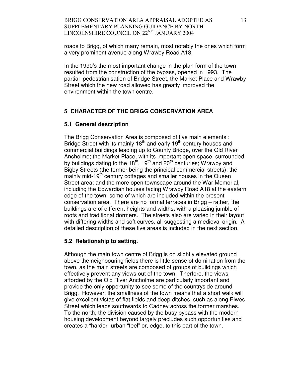roads to Brigg, of which many remain, most notably the ones which form a very prominent avenue along Wrawby Road A18.

In the 1990's the most important change in the plan form of the town resulted from the construction of the bypass, opened in 1993. The partial pedestrianisation of Bridge Street, the Market Place and Wrawby Street which the new road allowed has greatly improved the environment within the town centre.

# **5 CHARACTER OF THE BRIGG CONSERVATION AREA**

### **5.1 General description**

The Brigg Conservation Area is composed of five main elements : Bridge Street with its mainly 18<sup>th</sup> and early 19<sup>th</sup> century houses and commercial buildings leading up to County Bridge, over the Old River Ancholme; the Market Place, with its important open space, surrounded by buildings dating to the  $18<sup>th</sup>$ ,  $19<sup>th</sup>$  and  $20<sup>th</sup>$  centuries; Wrawby and Bigby Streets (the former being the principal commercial streets); the mainly mid-19<sup>th</sup> century cottages and smaller houses in the Queen Street area; and the more open townscape around the War Memorial, including the Edwardian houses facing Wrawby Road A18 at the eastern edge of the town, some of which are included within the present conservation area. There are no formal terraces in Brigg – rather, the buildings are of different heights and widths, with a pleasing jumble of roofs and traditional dormers. The streets also are varied in their layout with differing widths and soft curves, all suggesting a medieval origin. A detailed description of these five areas is included in the next section.

# **5.2 Relationship to setting.**

Although the main town centre of Brigg is on slightly elevated ground above the neighbouring fields there is little sense of domination from the town, as the main streets are composed of groups of buildings which effectively prevent any views out of the town. Therfore, the views afforded by the Old River Ancholme are particularly important and provide the only opportunity to see some of the countryside around Brigg. However, the smallness of the town means that a short walk will give excellent vistas of flat fields and deep ditches, such as along Elwes Street which leads southwards to Cadney across the former marshes. To the north, the division caused by the busy bypass with the modern housing development beyond largely precludes such opportunities and creates a "harder" urban "feel" or, edge, to this part of the town.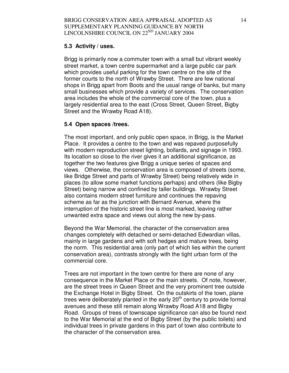# **5.3 Activity / uses.**

Brigg is primarily now a commuter town with a small but vibrant weekly street market, a town centre supermarket and a large public car park which provides useful parking for the town centre on the site of the former courts to the north of Wrawby Street. There are few national shops in Brigg apart from Boots and the usual range of banks, but many small businesses which provide a variety of services. The conservation area includes the whole of the commercial core of the town, plus a largely residential area to the east (Cross Street, Queen Street, Bigby Street and the Wrawby Road A18).

# **5.4 Open spaces /trees.**

The most important, and only public open space, in Brigg, is the Market Place. It provides a centre to the town and was repaved purposefully with modern reproduction street lighting, bollards, and signage in 1993. Its location so close to the river gives it an additional significance, as together the two features give Brigg a unique series of spaces and views. Otherwise, the conservation area is composed of streets (some, like Bridge Street and parts of Wrawby Street) being relatively wide in places (to allow some market functions perhaps) and others (like Bigby Street) being narrow and confined by taller buildings. Wrawby Street also contains modern street furniture and continues the repaving scheme as far as the junction with Bernard Avenue, where the interruption of the historic street line is most marked, leaving rather unwanted extra space and views out along the new by-pass.

Beyond the War Memorial, the character of the conservation area changes completely with detached or semi-detached Edwardian villas, mainly in large gardens and with soft hedges and mature trees, being the norm. This residential area (only part of which lies within the current conservation area), contrasts strongly with the tight urban form of the commercial core.

Trees are not important in the town centre for there are none of any consequence in the Market Place or the main streets. Of note, however, are the street trees in Queen Street and the very prominent tree outside the Exchange Hotel in Bigby Street. On the outskirts of the town, plane trees were deliberately planted in the early  $20<sup>th</sup>$  century to provide formal avenues and these still remain along Wrawby Road A18 and Bigby Road. Groups of trees of townscape significance can also be found next to the War Memorial at the end of Bigby Street (by the public toilets) and individual trees in private gardens in this part of town also contribute to the character of the conservation area.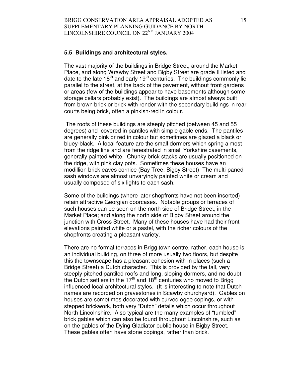#### **5.5 Buildings and architectural styles.**

The vast majority of the buildings in Bridge Street, around the Market Place, and along Wrawby Street and Bigby Street are grade II listed and date to the late  $18<sup>th</sup>$  and early 19<sup>th</sup> centuries. The buildings commonly lie parallel to the street, at the back of the pavement, without front gardens or areas (few of the buildings appear to have basements although some storage cellars probably exist). The buildings are almost always built from brown brick or brick with render with the secondary buildings in rear courts being brick, often a pinkish-red in colour.

 The roofs of these buildings are steeply pitched (between 45 and 55 degrees) and covered in pantiles with simple gable ends. The pantiles are generally pink or red in colour but sometimes are glazed a black or bluey-black. A local feature are the small dormers which spring almost from the ridge line and are fenestrated in small Yorkshire casements, generally painted white. Chunky brick stacks are usually positioned on the ridge, with pink clay pots. Sometimes these houses have an modillion brick eaves cornice (Bay Tree, Bigby Street) The multi-paned sash windows are almost unvaryingly painted white or cream and usually composed of six lights to each sash.

Some of the buildings (where later shopfronts have not been inserted) retain attractive Georgian doorcases. Notable groups or terraces of such houses can be seen on the north side of Bridge Street; in the Market Place; and along the north side of Bigby Street around the junction with Cross Street. Many of these houses have had their front elevations painted white or a pastel, with the richer colours of the shopfronts creating a pleasant variety.

There are no formal terraces in Brigg town centre, rather, each house is an individual building, on three of more usually two floors, but despite this the townscape has a pleasant cohesion with in places (such a Bridge Street) a Dutch character. This is provided by the tall, very steeply pitched pantiled roofs and long, sloping dormers, and no doubt the Dutch settlers in the 17<sup>th</sup> and 18<sup>th</sup> centuries who moved to Brigg influenced local architectural styles. (It is interesting to note that Dutch names are recorded on gravestones in Scawby churchyard). Gables on houses are sometimes decorated with curved ogee copings, or with stepped brickwork, both very "Dutch" details which occur throughout North Lincolnshire. Also typical are the many examples of "tumbled" brick gables which can also be found throughout Lincolnshire, such as on the gables of the Dying Gladiator public house in Bigby Street. These gables often have stone copings, rather than brick.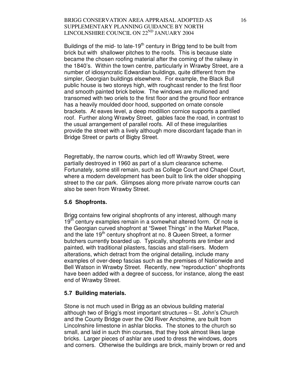Buildings of the mid- to late-19<sup>th</sup> century in Brigg tend to be built from brick but with shallower pitches to the roofs. This is because slate became the chosen roofing material after the coming of the railway in the 1840's. Within the town centre, particularly in Wrawby Street, are a number of idiosyncratic Edwardian buildings, quite different from the simpler, Georgian buildings elsewhere. For example, the Black Bull public house is two storeys high, with roughcast render to the first floor and smooth painted brick below. The windows are mullioned and transomed with two oriels to the first floor and the ground floor entrance has a heavily moulded door hood, supported on ornate console brackets. At eaves level, a deep modillion cornice supports a pantiled roof. Further along Wrawby Street, gables face the road, in contrast to the usual arrangement of parallel roofs. All of these irregularities provide the street with a lively although more discordant façade than in Bridge Street or parts of Bigby Street.

Regrettably, the narrow courts, which led off Wrawby Street, were partially destroyed in 1960 as part of a slum clearance scheme. Fortunately, some still remain, such as College Court and Chapel Court, where a modern development has been built to link the older shopping street to the car park. Glimpses along more private narrow courts can also be seen from Wrawby Street.

# **5.6 Shopfronts.**

Brigg contains few original shopfronts of any interest, although many  $19<sup>th</sup>$  century examples remain in a somewhat altered form. Of note is the Georgian curved shopfront at "Sweet Things" in the Market Place, and the late  $19<sup>th</sup>$  century shopfront at no. 8 Queen Street, a former butchers currently boarded up. Typically, shopfronts are timber and painted, with traditional pilasters, fascias and stall-risers. Modern alterations, which detract from the original detailing, include many examples of over-deep fascias such as the premises of Nationwide and Bell Watson in Wrawby Street. Recently, new "reproduction" shopfronts have been added with a degree of success, for instance, along the east end of Wrawby Street.

#### **5.7 Building materials.**

Stone is not much used in Brigg as an obvious building material although two of Brigg's most important structures – St. John's Church and the County Bridge over the Old River Ancholme, are built from Lincolnshire limestone in ashlar blocks. The stones to the church so small, and laid in such thin courses, that they look almost likes large bricks. Larger pieces of ashlar are used to dress the windows, doors and corners. Otherwise the buildings are brick, mainly brown or red and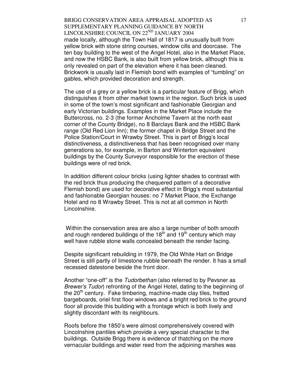BRIGG CONSERVATION AREA APPRAISAL ADOPTED AS SUPPLEMENTARY PLANNING GUIDANCE BY NORTH LINCOLNSHIRE COUNCIL ON 22<sup>ND</sup> JANUARY 2004 made locally, although the Town Hall of 1817 is unusually built from yellow brick with stone string courses, window cills and doorcase. The ten bay building to the west of the Angel Hotel, also in the Market Place, and now the HSBC Bank, is also built from yellow brick, although this is only revealed on part of the elevation where it has been cleaned. Brickwork is usually laid in Flemish bond with examples of "tumbling" on gables, which provided decoration and strength.

The use of a grey or a yellow brick is a particular feature of Brigg, which distinguishes it from other market towns in the region. Such brick is used in some of the town's most significant and fashionable Georgian and early Victorian buildings. Examples in the Market Place include the Buttercross, no. 2-3 (the former Ancholme Tavern at the north east corner of the County Bridge), no 8 Barclays Bank and the HSBC Bank range (Old Red Lion Inn); the former chapel in Bridge Street and the Police Station/Court in Wrawby Street. This is part of Brigg's local distinctiveness, a distinctiveness that has been recognised over many generations so, for example, in Barton and Winterton equivalent buildings by the County Surveyor responsible for the erection of these buildings were of red brick.

In addition different colour bricks (using lighter shades to contrast with the red brick thus producing the chequered pattern of a decorative Flemish bond) are used for decorative effect in Brigg's most substantial and fashionable Georgian houses: no 7 Market Place, the Exchange Hotel and no 8 Wrawby Street. This is not at all common in North Lincolnshire.

 Within the conservation area are also a large number of both smooth and rough rendered buildings of the 18<sup>th</sup> and 19<sup>th</sup> century which may well have rubble stone walls concealed beneath the render facing.

Despite significant rebuilding in 1979, the Old White Hart on Bridge Street is still partly of limestone rubble beneath the render. It has a small recessed datestone beside the front door.

Another "one-off" is the Tudorbethan (also referred to by Pevsner as Brewer's Tudor) refronting of the Angel Hotel, dating to the beginning of the  $20<sup>th</sup>$  century. Fake timbering, machine-made clay tiles, fretted bargeboards, oriel first floor windows and a bright red brick to the ground floor all provide this building with a frontage which is both lively and slightly discordant with its neighbours.

Roofs before the 1850's were almost comprehensively covered with Lincolnshire pantiles which provide a very special character to the buildings. Outside Brigg there is evidence of thatching on the more vernacular buildings and water reed from the adjoining marshes was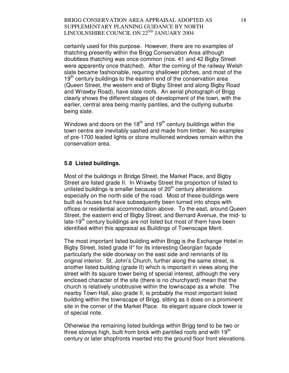certainly used for this purpose. However, there are no examples of thatching presently within the Brigg Conservation Area although doubtless thatching was once common (nos. 41 and 42 Bigby Street were apparently once thatched). After the coming of the railway Welsh slate became fashionable, requiring shallower pitches, and most of the  $19<sup>th</sup>$  century buildings to the eastern end of the conservation area (Queen Street, the western end of Bigby Street and along Bigby Road and Wrawby Road), have slate roofs. An aerial photograph of Brigg clearly shows the different stages of development of the town, with the earlier, central area being mainly pantiles, and the outlying suburbs being slate.

Windows and doors on the  $18<sup>th</sup>$  and  $19<sup>th</sup>$  century buildings within the town centre are inevitably sashed and made from timber. No examples of pre-1700 leaded lights or stone mullioned windows remain within the conservation area.

### **5.8 Listed buildings.**

Most of the buildings in Bridge Street, the Market Place, and Bigby Street are listed grade II. In Wrawby Street the proportion of listed to unlisted buildings is smaller because of  $20<sup>th</sup>$  century alterations especially on the north side of the road. Most of these buildings were built as houses but have subsequently been turned into shops with offices or residential accommodation above. To the east, around Queen Street, the eastern end of Bigby Street, and Bernard Avenue, the mid- to late-19<sup>th</sup> century buildings are not listed but most of them have been identified within this appraisal as Buildings of Townscape Merit.

The most important listed building within Brigg is the Exchange Hotel in Bigby Street, listed grade II\* for its interesting Georgian façade particularly the side doorway on the east side and remnants of its original interior. St. John's Church, further along the same street, is another listed building (grade II) which is important in views along the street with its square tower being of special interest, although the very enclosed character of the site (there is no churchyard) mean that the church is relatively unobtrusive within the townscape as a whole. The nearby Town Hall, also grade II, is probably the most important listed building within the townscape of Brigg, sitting as it does on a prominent site in the corner of the Market Place. Its elegant square clock tower is of special note.

Otherwise the remaining listed buildings within Brigg tend to be two or three storeys high, built from brick with pantiled roofs and with  $19<sup>th</sup>$ century or later shopfronts inserted into the ground floor front elevations.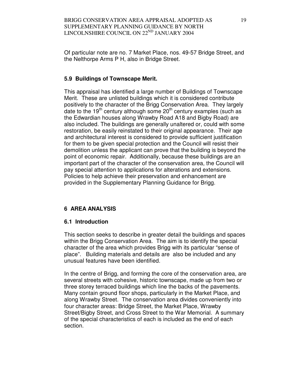Of particular note are no. 7 Market Place, nos. 49-57 Bridge Street, and the Nelthorpe Arms P H, also in Bridge Street.

# **5.9 Buildings of Townscape Merit.**

This appraisal has identified a large number of Buildings of Townscape Merit. These are unlisted buildings which it is considered contribute positively to the character of the Brigg Conservation Area. They largely date to the 19<sup>th</sup> century although some  $20<sup>th</sup>$  century examples (such as the Edwardian houses along Wrawby Road A18 and Bigby Road) are also included. The buildings are generally unaltered or, could with some restoration, be easily reinstated to their original appearance. Their age and architectural interest is considered to provide sufficient justification for them to be given special protection and the Council will resist their demolition unless the applicant can prove that the building is beyond the point of economic repair. Additionally, because these buildings are an important part of the character of the conservation area, the Council will pay special attention to applications for alterations and extensions. Policies to help achieve their preservation and enhancement are provided in the Supplementary Planning Guidance for Brigg.

# **6 AREA ANALYSIS**

# **6.1 Introduction**

This section seeks to describe in greater detail the buildings and spaces within the Brigg Conservation Area. The aim is to identify the special character of the area which provides Brigg with its particular "sense of place". Building materials and details are also be included and any unusual features have been identified.

In the centre of Brigg, and forming the core of the conservation area, are several streets with cohesive, historic townscape, made up from two or three storey terraced buildings which line the backs of the pavements. Many contain ground floor shops, particularly in the Market Place, and along Wrawby Street. The conservation area divides conveniently into four character areas: Bridge Street, the Market Place, Wrawby Street/Bigby Street, and Cross Street to the War Memorial. A summary of the special characteristics of each is included as the end of each section.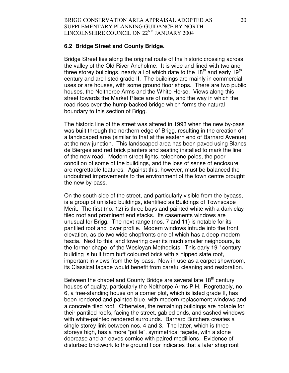#### **6.2 Bridge Street and County Bridge.**

Bridge Street lies along the original route of the historic crossing across the valley of the Old River Ancholme. It is wide and lined with two and three storey buildings, nearly all of which date to the  $18<sup>th</sup>$  and early  $19<sup>th</sup>$ century and are listed grade II. The buildings are mainly in commercial uses or are houses, with some ground floor shops. There are two public houses, the Nelthorpe Arms and the White Horse. Views along this street towards the Market Place are of note, and the way in which the road rises over the hump-backed bridge which forms the natural boundary to this section of Brigg.

The historic line of the street was altered in 1993 when the new by-pass was built through the northern edge of Brigg, resulting in the creation of a landscaped area (similar to that at the eastern end of Barnard Avenue) at the new junction. This landscaped area has been paved using Blancs de Bierges and red brick planters and seating installed to mark the line of the new road. Modern street lights, telephone poles, the poor condition of some of the buildings, and the loss of sense of enclosure are regrettable features. Against this, however, must be balanced the undoubted improvements to the environment of the town centre brought the new by-pass.

On the south side of the street, and particularly visible from the bypass, is a group of unlisted buildings, identified as Buildings of Townscape Merit. The first (no. 12) is three bays and painted white with a dark clay tiled roof and prominent end stacks. Its casements windows are unusual for Brigg. The next range (nos. 7 and 11) is notable for its pantiled roof and lower profile. Modern windows intrude into the front elevation, as do two wide shopfronts one of which has a deep modern fascia. Next to this, and towering over its much smaller neighbours, is the former chapel of the Wesleyan Methodists. This early  $19<sup>th</sup>$  century building is built from buff coloured brick with a hipped slate roof, important in views from the by-pass. Now in use as a carpet showroom, its Classical façade would benefit from careful cleaning and restoration.

Between the chapel and County Bridge are several late 18<sup>th</sup> century houses of quality, particularly the Nelthorpe Arms P H. Regrettably, no. 6, a free-standing house on a corner plot, which is listed grade II, has been rendered and painted blue, with modern replacement windows and a concrete tiled roof. Otherwise, the remaining buildings are notable for their pantiled roofs, facing the street, gabled ends, and sashed windows with white-painted rendered surrounds. Barnard Butchers creates a single storey link between nos. 4 and 3. The latter, which is three storeys high, has a more "polite", symmetrical façade, with a stone doorcase and an eaves cornice with paired modillions. Evidence of disturbed brickwork to the ground floor indicates that a later shopfront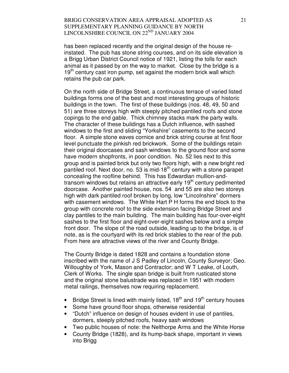has been replaced recently and the original design of the house reinstated. The pub has stone string courses, and on its side elevation is a Brigg Urban District Council notice of 1921, listing the tolls for each animal as it passed by on the way to market. Close by the bridge is a  $19<sup>th</sup>$  century cast iron pump, set against the modern brick wall which retains the pub car park.

On the north side of Bridge Street, a continuous terrace of varied listed buildings forms one of the best and most interesting groups of historic buildings in the town. The first of these buildings (nos. 48, 49, 50 and 51) are three storeys high with steeply pitched pantiled roofs and stone copings to the end gable. Thick chimney stacks mark the party walls. The character of these buildings has a Dutch influence, with sashed windows to the first and sliding "Yorkshire" casements to the second floor. A simple stone eaves cornice and brick string course at first floor level punctuate the pinkish red brickwork. Some of the buildings retain their original doorcases and sash windows to the ground floor and some have modern shopfronts, in poor condition. No. 52 lies next to this group and is painted brick but only two floors high, with a new bright red pantiled roof. Next door, no. 53 is mid-18<sup>th</sup> century with a stone parapet concealing the roofline behind. This has Edwardian mullion-andtransom windows but retains an attractive early  $19<sup>th</sup>$  century pedimented doorcase. Another painted house, nos. 54 and 55 are also two storeys high with dark pantiled roof broken by long, low "Lincolnshire" dormers with casement windows. The White Hart P H forms the end block to the group with concrete roof to the side extension facing Bridge Street and clay pantiles to the main building. The main building has four-over-eight sashes to the first floor and eight-over-eight sashes below and a simple front door. The slope of the road outside, leading up to the bridge, is of note, as is the courtyard with its red brick stables to the rear of the pub. From here are attractive views of the river and County Bridge.

The County Bridge is dated 1828 and contains a foundation stone inscribed with the name of J S Padley of Lincoln, County Surveyor; Geo. Willoughby of York, Mason and Contractor; and W T Leake, of Louth, Clerk of Works. The single span bridge is built from rusticated stone and the original stone balustrade was replaced in 1951 with modern metal railings, themselves now requiring replacement.

- Bridge Street is lined with mainly listed,  $18<sup>th</sup>$  and  $19<sup>th</sup>$  century houses
- Some have ground floor shops, otherwise residential
- "Dutch" influence on design of houses evident in use of pantiles, dormers, steeply pitched roofs, heavy sash windows
- Two public houses of note: the Nelthorpe Arms and the White Horse
- County Bridge (1828), and its hump-back shape, important in views into Brigg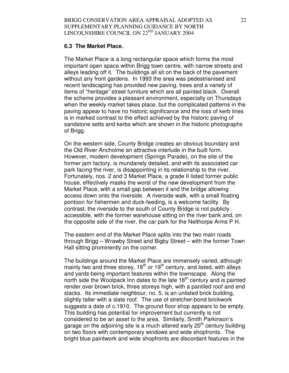#### **6.3 The Market Place.**

The Market Place is a long rectangular space which forms the most important open space within Brigg town centre, with narrow streets and alleys leading off it. The buildings all sit on the back of the pavement without any front gardens. In 1993 the area was pedestrianised and recent landscaping has provided new paving, trees and a variety of items of "heritage" street furniture which are all painted black. Overall the scheme provides a pleasant environment, especially on Thursdays when the weekly market takes place, but the complicated patterns in the paving appear to have no historic significance and the loss of kerb lines is in marked contrast to the effect achieved by the historic paving of sandstone setts and kerbs which are shown in the historic photographs of Brigg.

On the western side, County Bridge creates an obvious boundary and the Old River Ancholme an attractive interlude in the built form. However, modern development (Springs Parade), on the site of the former jam factory, is mundanely detailed, and with its associated car park facing the river, is disappointing in its relationship to the river. Fortunately, nos. 2 and 3 Market Place, a grade II listed former public house, effectively masks the worst of the new development from the Market Place, with a small gap between it and the bridge allowing access down onto the riverside. A riverside walk, with a small floating pontoon for fishermen and duck-feeding, is a welcome facility. By contrast, the riverside to the south of County Bridge is not publicly accessible, with the former warehouse sitting on the river bank and, on the opposite side of the river, the car park for the Nelthorpe Arms P H.

The eastern end of the Market Place splits into the two main roads through Brigg – Wrawby Street and Bigby Street – with the former Town Hall sitting prominently on the corner.

The buildings around the Market Place are immensely varied, although mainly two and three storey,  $18<sup>th</sup>$  or  $19<sup>th</sup>$  century, and listed, with alleys and yards being important features within the townscape. Along the north side the Woolpack Inn dates to the late  $18<sup>th</sup>$  century and is painted render over brown brick, three storeys high, with a pantiled roof and end stacks. Its immediate neighbour, no. 5, is an unlisted brick building, slightly taller with a slate roof. The use of stretcher-bond brickwork suggests a date of c.1910. The ground floor shop appears to be empty. This building has potential for improvement but currently is not considered to be an asset to the area. Similarly, Smith Parkinson's garage on the adjoining site is a much altered early  $20<sup>th</sup>$  century building on two floors with contemporary windows and wide shopfronts. The bright blue paintwork and wide shopfronts are discordant features in the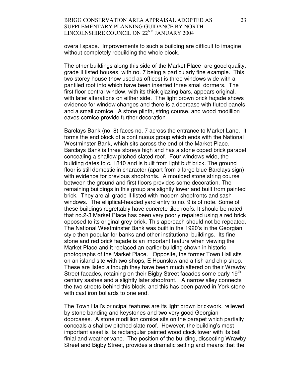overall space. Improvements to such a building are difficult to imagine without completely rebuilding the whole block.

The other buildings along this side of the Market Place are good quality, grade II listed houses, with no. 7 being a particularly fine example. This two storey house (now used as offices) is three windows wide with a pantiled roof into which have been inserted three small dormers. The first floor central window, with its thick glazing bars, appears original, with later alterations on either side. The light brown brick façade shows evidence for window changes and there is a doorcase with fluted panels and a small cornice. A stone plinth, string course, and wood modillion eaves cornice provide further decoration.

Barclays Bank (no. 8) faces no. 7 across the entrance to Market Lane. It forms the end block of a continuous group which ends with the National Westminster Bank, which sits across the end of the Market Place. Barclays Bank is three storeys high and has a stone coped brick parapet concealing a shallow pitched slated roof. Four windows wide, the building dates to c. 1840 and is built from light buff brick. The ground floor is still domestic in character (apart from a large blue Barclays sign) with evidence for previous shopfronts. A moulded stone string course between the ground and first floors provides some decoration. The remaining buildings in this group are slightly lower and built from painted brick. They are all grade II listed with modern shopfronts and sash windows. The elliptical-headed yard entry to no. 9 is of note. Some of these buildings regrettably have concrete tiled roofs. It should be noted that no.2-3 Market Place has been very poorly repaired using a red brick opposed to its original grey brick. This approach should not be repeated. The National Westminster Bank was built in the 1920's in the Georgian style then popular for banks and other institutional buildings. Its fine stone and red brick façade is an important feature when viewing the Market Place and it replaced an earlier building shown in historic photographs of the Market Place. Opposite, the former Town Hall sits on an island site with two shops, E Hounslow and a fish and chip shop. These are listed although they have been much altered on their Wrawby Street facades, retaining on their Bigby Street facades some early 19<sup>th</sup> century sashes and a slightly later shopfront. A narrow alley connects the two streets behind this block, and this has been paved in York stone with cast iron bollards to one end.

The Town Hall's principal features are its light brown brickwork, relieved by stone banding and keystones and two very good Georgian doorcases. A stone modillion cornice sits on the parapet which partially conceals a shallow pitched slate roof. However, the building's most important asset is its rectangular painted wood clock tower with its ball finial and weather vane. The position of the building, dissecting Wrawby Street and Bigby Street, provides a dramatic setting and means that the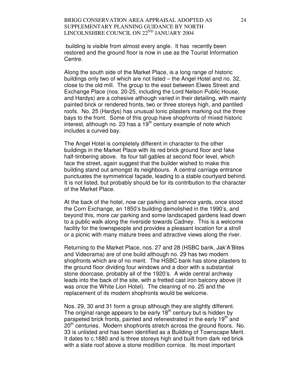building is visible from almost every angle. It has recently been restored and the ground floor is now in use as the Tourist Information Centre.

Along the south side of the Market Place, is a long range of historic buildings only two of which are not listed – the Angel Hotel and no. 32, close to the old mill. The group to the east between Elwes Street and Exchange Place (nos. 20-25, including the Lord Nelson Public House, and Hardys) are a cohesive although varied in their detailing, with mainly painted brick or rendered fronts, two or three storeys high, and pantiled roofs. No. 25 (Hardys) has unusual Ionic pilasters marking out the three bays to the front. Some of this group have shopfronts of mixed historic interest, although no. 23 has a  $19<sup>th</sup>$  century example of note which includes a curved bay.

The Angel Hotel is completely different in character to the other buildings in the Market Place with its red brick ground floor and fake half-timbering above. Its four tall gables at second floor level, which face the street, again suggest that the builder wished to make this building stand out amongst its neighbours. A central carriage entrance punctuates the symmetrical façade, leading to a stable courtyard behind. It is not listed, but probably should be for its contribution to the character of the Market Place.

At the back of the hotel, now car parking and service yards, once stood the Corn Exchange, an 1850's building demolished in the 1990's, and beyond this, more car parking and some landscaped gardens lead down to a public walk along the riverside towards Cadney. This is a welcome facility for the townspeople and provides a pleasant location for a stroll or a picnic with many mature trees and attractive views along the river.

Returning to the Market Place, nos. 27 and 28 (HSBC bank, Jak'A'Bites and Videorama) are of one build although no. 29 has two modern shopfronts which are of no merit. The HSBC bank has stone pilasters to the ground floor dividing four windows and a door with a substantial stone doorcase, probably all of the 1920's. A wide central archway leads into the back of the site, with a fretted cast iron balcony above (it was once the White Lion Hotel). The cleaning of no. 25 and the replacement of its modern shopfronts would be welcome.

Nos. 29, 30 and 31 form a group although they are slightly different. The original range appears to be early  $18<sup>th</sup>$  century but is hidden by parapeted brick fronts, painted and refenestrated in the early 19<sup>th</sup> and  $20<sup>th</sup>$  centuries. Modern shopfronts stretch across the ground floors. No. 33 is unlisted and has been identified as a Building of Townscape Merit. It dates to c.1880 and is three storeys high and built from dark red brick with a slate roof above a stone modillion cornice. Its most important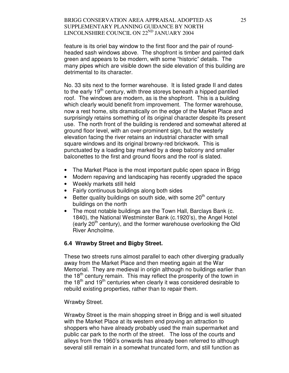feature is its oriel bay window to the first floor and the pair of roundheaded sash windows above. The shopfront is timber and painted dark green and appears to be modern, with some "historic" details. The many pipes which are visible down the side elevation of this building are detrimental to its character.

No. 33 sits next to the former warehouse. It is listed grade II and dates to the early  $19<sup>th</sup>$  century, with three storeys beneath a hipped pantiled roof. The windows are modern, as is the shopfront. This is a building which clearly would benefit from improvement. The former warehouse, now a rest home, sits dramatically on the edge of the Market Place and surprisingly retains something of its original character despite its present use. The north front of the building is rendered and somewhat altered at ground floor level, with an over-prominent sign, but the westerly elevation facing the river retains an industrial character with small square windows and its original browny-red brickwork. This is punctuated by a loading bay marked by a deep balcony and smaller balconettes to the first and ground floors and the roof is slated.

- The Market Place is the most important public open space in Brigg
- Modern repaving and landscaping has recently upgraded the space
- Weekly markets still held
- Fairly continuous buildings along both sides
- $\bullet$  Better quality buildings on south side, with some 20<sup>th</sup> century buildings on the north
- The most notable buildings are the Town Hall, Barclays Bank (c. 1840), the National Westminster Bank (c.1920's), the Angel Hotel (early  $20<sup>th</sup>$  century), and the former warehouse overlooking the Old River Ancholme.

## **6.4 Wrawby Street and Bigby Street.**

These two streets runs almost parallel to each other diverging gradually away from the Market Place and then meeting again at the War Memorial. They are medieval in origin although no buildings earlier than the 18<sup>th</sup> century remain. This may reflect the prosperity of the town in the  $18<sup>th</sup>$  and  $19<sup>th</sup>$  centuries when clearly it was considered desirable to rebuild existing properties, rather than to repair them.

#### Wrawby Street.

Wrawby Street is the main shopping street in Brigg and is well situated with the Market Place at its western end proving an attraction to shoppers who have already probably used the main supermarket and public car park to the north of the street. The loss of the courts and alleys from the 1960's onwards has already been referred to although several still remain in a somewhat truncated form, and still function as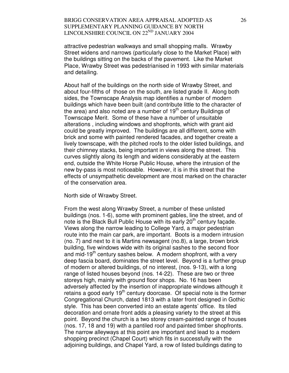attractive pedestrian walkways and small shopping malls. Wrawby Street widens and narrows (particularly close to the Market Place) with the buildings sitting on the backs of the pavement. Like the Market Place, Wrawby Street was pedestrianised in 1993 with similar materials and detailing.

About half of the buildings on the north side of Wrawby Street, and about four-fifths of those on the south, are listed grade II. Along both sides, the Townscape Analysis map identifies a number of modern buildings which have been built (and contribute little to the character of the area) and also noted are a number of  $19<sup>th</sup>$  century Buildings of Townscape Merit. Some of these have a number of unsuitable alterations , including windows and shopfronts, which with grant aid could be greatly improved. The buildings are all different, some with brick and some with painted rendered facades, and together create a lively townscape, with the pitched roofs to the older listed buildings, and their chimney stacks, being important in views along the street. This curves slightly along its length and widens considerably at the eastern end, outside the White Horse Public House, where the intrusion of the new by-pass is most noticeable. However, it is in this street that the effects of unsympathetic development are most marked on the character of the conservation area.

North side of Wrawby Street.

From the west along Wrawby Street, a number of these unlisted buildings (nos. 1-6), some with prominent gables, line the street, and of note is the Black Bull Public House with its early 20<sup>th</sup> century facade. Views along the narrow leading to College Yard, a major pedestrian route into the main car park, are important. Boots is a modern intrusion (no. 7) and next to it is Martins newsagent (no.8), a large, brown brick building, five windows wide with its original sashes to the second floor and mid-19<sup>th</sup> century sashes below. A modern shopfront, with a very deep fascia board, dominates the street level. Beyond is a further group of modern or altered buildings, of no interest, (nos. 9-13), with a long range of listed houses beyond (nos. 14-22). These are two or three storeys high, mainly with ground floor shops. No. 16 has been adversely affected by the insertion of inappropriate windows although it retains a good early 19<sup>th</sup> century doorcase. Of special note is the former Congregational Church, dated 1813 with a later front designed in Gothic style. This has been converted into an estate agents' office. Its tiled decoration and ornate front adds a pleasing variety to the street at this point. Beyond the church is a two storey cream-painted range of houses (nos. 17, 18 and 19) with a pantiled roof and painted timber shopfronts. The narrow alleyways at this point are important and lead to a modern shopping precinct (Chapel Court) which fits in successfully with the adjoining buildings, and Chapel Yard, a row of listed buildings dating to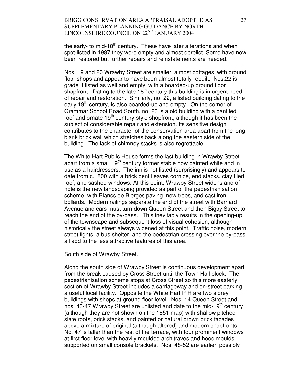the early- to mid-18<sup>th</sup> century. These have later alterations and when spot-listed in 1987 they were empty and almost derelict. Some have now been restored but further repairs and reinstatements are needed.

Nos. 19 and 20 Wrawby Street are smaller, almost cottages, with ground floor shops and appear to have been almost totally rebuilt. Nos.22 is grade II listed as well and empty, with a boarded-up ground floor shopfront. Dating to the late  $18<sup>th</sup>$  century this building is in urgent need of repair and restoration. Similarly, no. 22, a listed building dating to the early 19<sup>th</sup> century, is also boarded-up and empty. On the corner of Grammar School Road South, no. 23 is a old building with a pantiled roof and ornate  $19<sup>th</sup>$  century-style shopfront, although it has been the subject of considerable repair and extension. Its sensitive design contributes to the character of the conservation area apart from the long blank brick wall which stretches back along the eastern side of the building. The lack of chimney stacks is also regrettable.

The White Hart Public House forms the last building in Wrawby Street apart from a small 19<sup>th</sup> century former stable now painted white and in use as a hairdressers. The inn is not listed (surprisingly) and appears to date from c.1800 with a brick dentil eaves cornice, end stacks, clay tiled roof, and sashed windows. At this point, Wrawby Street widens and of note is the new landscaping provided as part of the pedestrianisation scheme, with Blancs de Bierges paving, new trees, and cast iron bollards. Modern railings separate the end of the street with Barnard Avenue and cars must turn down Queen Street and then Bigby Street to reach the end of the by-pass. This inevitably results in the opening-up of the townscape and subsequent loss of visual cohesion, although historically the street always widened at this point. Traffic noise, modern street lights, a bus shelter, and the pedestrian crossing over the by-pass all add to the less attractive features of this area.

South side of Wrawby Street.

Along the south side of Wrawby Street is continuous development apart from the break caused by Cross Street until the Town Hall block. The pedestrianisation scheme stops at Cross Street so this more easterly section of Wrawby Street includes a carriageway and on-street parking, a useful local facility. Opposite the White Hart P H are two storey buildings with shops at ground floor level. Nos. 14 Queen Street and nos. 43-47 Wrawby Street are unlisted and date to the mid-19<sup>th</sup> century (although they are not shown on the 1851 map) with shallow pitched slate roofs, brick stacks, and painted or natural brown brick facades above a mixture of original (although altered) and modern shopfronts. No. 47 is taller than the rest of the terrace, with four prominent windows at first floor level with heavily moulded architraves and hood moulds supported on small console brackets. Nos. 48-52 are earlier, possibly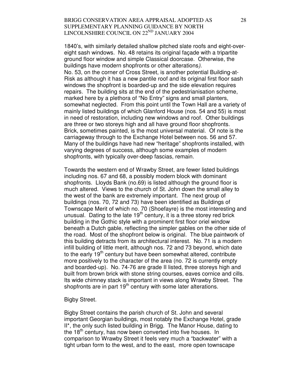1840's, with similarly detailed shallow pitched slate roofs and eight-overeight sash windows. No. 48 retains its original façade with a tripartite ground floor window and simple Classical doorcase. Otherwise, the buildings have modern shopfronts or other alterations). No. 53, on the corner of Cross Street, is another potential Building-at-Risk as although it has a new pantile roof and its original first floor sash windows the shopfront is boarded-up and the side elevation requires repairs. The building sits at the end of the pedestrianisation scheme, marked here by a plethora of "No Entry" signs and small planters, somewhat neglected. From this point until the Town Hall are a variety of mainly listed buildings of which Glanford House (nos. 54 and 55) is most in need of restoration, including new windows and roof. Other buildings are three or two storeys high and all have ground floor shopfronts. Brick, sometimes painted, is the most universal material. Of note is the carriageway through to the Exchange Hotel between nos. 56 and 57. Many of the buildings have had new "heritage" shopfronts installed, with varying degrees of success, although some examples of modern shopfronts, with typically over-deep fascias, remain.

Towards the western end of Wrawby Street, are fewer listed buildings including nos. 67 and 68, a possibly modern block with dominant shopfronts. Lloyds Bank (no.69) is listed although the ground floor is much altered. Views to the church of St. John down the small alley to the west of the bank are extremely important. The next group of buildings (nos. 70, 72 and 73) have been identified as Buildings of Townscape Merit of which no. 70 (Shoefayre) is the most interesting and unusual. Dating to the late  $19<sup>th</sup>$  century, it is a three storey red brick building in the Gothic style with a prominent first floor oriel window beneath a Dutch gable, reflecting the simpler gables on the other side of the road. Most of the shopfront below is original. The blue paintwork of this building detracts from its architectural interest. No. 71 is a modern infill building of little merit, although nos. 72 and 73 beyond, which date to the early  $19<sup>th</sup>$  century but have been somewhat altered, contribute more positively to the character of the area (no. 72 is currently empty and boarded-up). No. 74-76 are grade II listed, three storeys high and built from brown brick with stone string courses, eaves cornice and cills. Its wide chimney stack is important in views along Wrawby Street. The shopfronts are in part  $19<sup>th</sup>$  century with some later alterations.

#### Bigby Street.

Bigby Street contains the parish church of St. John and several important Georgian buildings, most notably the Exchange Hotel, grade II\*, the only such listed building in Brigg. The Manor House, dating to the  $18<sup>th</sup>$  century, has now been converted into five houses. In comparison to Wrawby Street it feels very much a "backwater" with a tight urban form to the west, and to the east, more open townscape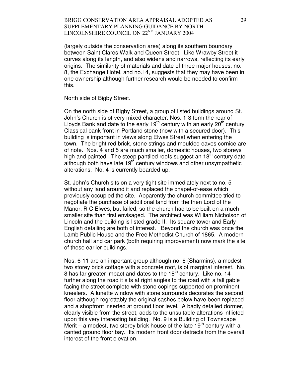(largely outside the conservation area) along its southern boundary between Saint Clares Walk and Queen Street. Like Wrawby Street it curves along its length, and also widens and narrows, reflecting its early origins. The similarity of materials and date of three major houses, no. 8, the Exchange Hotel, and no.14, suggests that they may have been in one ownership although further research would be needed to confirm this.

North side of Bigby Street.

On the north side of Bigby Street, a group of listed buildings around St. John's Church is of very mixed character. Nos. 1-3 form the rear of Lloyds Bank and date to the early  $19<sup>th</sup>$  century with an early 20<sup>th</sup> century Classical bank front in Portland stone (now with a secured door). This building is important in views along Elwes Street when entering the town. The bright red brick, stone strings and moulded eaves cornice are of note. Nos. 4 and 5 are much smaller, domestic houses, two storeys high and painted. The steep pantiled roofs suggest an  $18<sup>th</sup>$  century date although both have late  $19<sup>th</sup>$  century windows and other unsympathetic alterations. No. 4 is currently boarded-up.

St. John's Church sits on a very tight site immediately next to no. 5 without any land around it and replaced the chapel-of-ease which previously occupied the site. Apparently the church committee tried to negotiate the purchase of additional land from the then Lord of the Manor, R C Elwes, but failed, so the church had to be built on a much smaller site than first envisaged. The architect was William Nicholson of Lincoln and the building is listed grade II. Its square tower and Early English detailing are both of interest. Beyond the church was once the Lamb Public House and the Free Methodist Church of 1865. A modern church hall and car park (both requiring improvement) now mark the site of these earlier buildings.

Nos. 6-11 are an important group although no. 6 (Sharmins), a modest two storey brick cottage with a concrete roof, is of marginal interest. No. 8 has far greater impact and dates to the  $18<sup>th</sup>$  century. Like no. 14 further along the road it sits at right angles to the road with a tall gable facing the street complete with stone copings supported on prominent kneelers. A lunette window with stone surrounds decorates the second floor although regrettably the original sashes below have been replaced and a shopfront inserted at ground floor level. A badly detailed dormer, clearly visible from the street, adds to the unsuitable alterations inflicted upon this very interesting building. No. 9 is a Building of Townscape Merit – a modest, two storey brick house of the late  $19<sup>th</sup>$  century with a canted ground floor bay. Its modern front door detracts from the overall interest of the front elevation.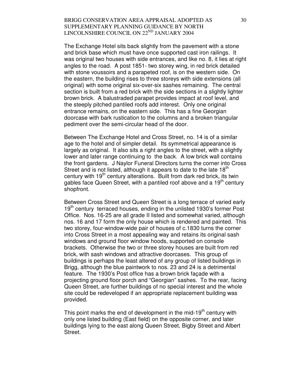The Exchange Hotel sits back slightly from the pavement with a stone and brick base which must have once supported cast iron railings. It was original two houses with side entrances, and like no. 8, it lies at right angles to the road. A post 1851- two storey wing, in red brick detailed with stone voussoirs and a parapeted roof, is on the western side. On the eastern, the building rises to three storeys with side extensions (all original) with some original six-over-six sashes remaining. The central section is built from a red brick with the side sections in a slightly lighter brown brick. A balustraded parapet provides impact at roof level, and the steeply pitched pantiled roofs add interest. Only one original entrance remains, on the eastern side. This has a fine Georgian doorcase with bark rustication to the columns and a broken triangular pediment over the semi-circular head of the door.

Between The Exchange Hotel and Cross Street, no. 14 is of a similar age to the hotel and of simpler detail. Its symmetrical appearance is largely as original. It also sits a right angles to the street, with a slightly lower and later range continuing to the back. A low brick wall contains the front gardens. J Naylor Funeral Directors turns the corner into Cross Street and is not listed, although it appears to date to the late  $18<sup>th</sup>$ century with  $19<sup>th</sup>$  century alterations. Built from dark red brick, its twin gables face Queen Street, with a pantiled roof above and a 19<sup>th</sup> century shopfront.

Between Cross Street and Queen Street is a long terrace of varied early 19<sup>th</sup> century terraced houses, ending in the unlisted 1930's former Post Office. Nos. 16-25 are all grade II listed and somewhat varied, although nos. 16 and 17 form the only house which is rendered and painted. This two storey, four-window-wide pair of houses of c.1830 turns the corner into Cross Street in a most appealing way and retains its original sash windows and ground floor window hoods, supported on console brackets. Otherwise the two or three storey houses are built from red brick, with sash windows and attractive doorcases. This group of buildings is perhaps the least altered of any group of listed buildings in Brigg, although the blue paintwork to nos. 23 and 24 is a detrimental feature. The 1930's Post office has a brown brick façade with a projecting ground floor porch and "Georgian" sashes. To the rear, facing Queen Street, are further buildings of no special interest and the whole site could be redeveloped if an appropriate replacement building was provided.

This point marks the end of development in the mid-19<sup>th</sup> century with only one listed building (East field) on the opposite corner, and later buildings lying to the east along Queen Street, Bigby Street and Albert Street.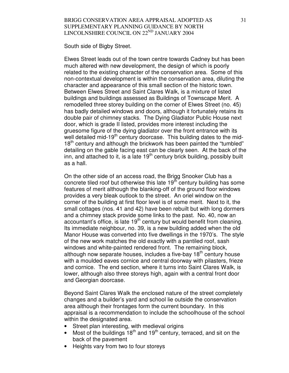South side of Bigby Street.

Elwes Street leads out of the town centre towards Cadney but has been much altered with new development, the design of which is poorly related to the existing character of the conservation area. Some of this non-contextual development is within the conservation area, diluting the character and appearance of this small section of the historic town. Between Elwes Street and Saint Clares Walk, is a mixture of listed buildings and buildings assessed as Buildings of Townscape Merit. A remodelled three storey building on the corner of Elwes Street (no. 45) has badly detailed windows and doors, although it fortunately retains its double pair of chimney stacks. The Dying Gladiator Public House next door, which is grade II listed, provides more interest including the gruesome figure of the dying gladiator over the front entrance with its well detailed mid-19<sup>th</sup> century doorcase. This building dates to the mid-18<sup>th</sup> century and although the brickwork has been painted the "tumbled" detailing on the gable facing east can be clearly seen. At the back of the inn, and attached to it, is a late 19<sup>th</sup> century brick building, possibly built as a hall.

On the other side of an access road, the Brigg Snooker Club has a concrete tiled roof but otherwise this late  $19<sup>th</sup>$  century building has some features of merit although the blanking-off of the ground floor windows provides a very bleak outlook to the street. An oriel window on the corner of the building at first floor level is of some merit. Next to it, the small cottages (nos. 41 and 42) have been rebuilt but with long dormers and a chimney stack provide some links to the past. No. 40, now an accountant's office, is late  $19<sup>th</sup>$  century but would benefit from cleaning. Its immediate neighbour, no. 39, is a new building added when the old Manor House was converted into five dwellings in the 1970's. The style of the new work matches the old exactly with a pantiled roof, sash windows and white-painted rendered front. The remaining block, although now separate houses, includes a five-bay 18<sup>th</sup> century house with a moulded eaves cornice and central doorway with pilasters, frieze and cornice. The end section, where it turns into Saint Clares Walk, is lower, although also three storeys high, again with a central front door and Georgian doorcase.

Beyond Saint Clares Walk the enclosed nature of the street completely changes and a builder's yard and school lie outside the conservation area although their frontages form the current boundary. In this appraisal is a recommendation to include the schoolhouse of the school within the designated area.

- Street plan interesting, with medieval origins
- Most of the buildings  $18<sup>th</sup>$  and  $19<sup>th</sup>$  century, terraced, and sit on the back of the pavement
- Heights vary from two to four storeys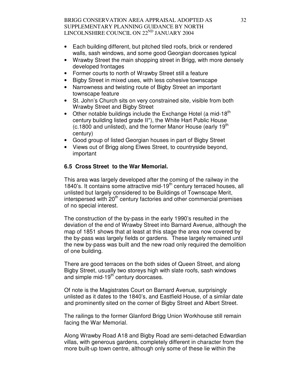- Each building different, but pitched tiled roofs, brick or rendered walls, sash windows, and some good Georgian doorcases typical
- Wrawby Street the main shopping street in Brigg, with more densely developed frontages
- Former courts to north of Wrawby Street still a feature
- Bigby Street in mixed uses, with less cohesive townscape
- Narrowness and twisting route of Bigby Street an important townscape feature
- St. John's Church sits on very constrained site, visible from both Wrawby Street and Bigby Street
- Other notable buildings include the Exchange Hotel (a mid-18<sup>th</sup>) century building listed grade II\*), the White Hart Public House (c.1800 and unlisted), and the former Manor House (early 19<sup>th</sup> century)
- Good group of listed Georgian houses in part of Bigby Street
- Views out of Brigg along Elwes Street, to countryside beyond, important

# **6.5 Cross Street to the War Memorial.**

This area was largely developed after the coming of the railway in the 1840's. It contains some attractive mid-19<sup>th</sup> century terraced houses, all unlisted but largely considered to be Buildings of Townscape Merit, interspersed with  $20<sup>th</sup>$  century factories and other commercial premises of no special interest.

The construction of the by-pass in the early 1990's resulted in the deviation of the end of Wrawby Street into Barnard Avenue, although the map of 1851 shows that at least at this stage the area now covered by the by-pass was largely fields or gardens. These largely remained until the new by-pass was built and the new road only required the demolition of one building.

There are good terraces on the both sides of Queen Street, and along Bigby Street, usually two storeys high with slate roofs, sash windows and simple mid-19<sup>th</sup> century doorcases.

Of note is the Magistrates Court on Barnard Avenue, surprisingly unlisted as it dates to the 1840's, and Eastfield House, of a similar date and prominently sited on the corner of Bigby Street and Albert Street.

The railings to the former Glanford Brigg Union Workhouse still remain facing the War Memorial.

Along Wrawby Road A18 and Bigby Road are semi-detached Edwardian villas, with generous gardens, completely different in character from the more built-up town centre, although only some of these lie within the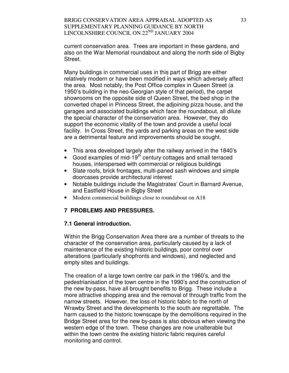current conservation area. Trees are important in these gardens, and also on the War Memorial roundabout and along the north side of Bigby Street.

Many buildings in commercial uses in this part of Brigg are either relatively modern or have been modified in ways which adversely affect the area. Most notably, the Post Office complex in Queen Street (a 1950's building in the neo-Georgian style of that period), the carpet showrooms on the opposite side of Queen Street, the bed shop in the converted chapel in Princess Street, the adjoining pizza house, and the garages and associated buildings which face the roundabout, all dilute the special character of the conservation area. However, they do support the economic vitality of the town and provide a useful local facility. In Cross Street, the yards and parking areas on the west side are a detrimental feature and improvements should be sought.

- This area developed largely after the railway arrived in the 1840's
- Good examples of mid-19<sup>th</sup> century cottages and small terraced houses, interspersed with commercial or religious buildings
- Slate roofs, brick frontages, multi-paned sash windows and simple doorcases provide architectural interest
- Notable buildings include the Magistrates' Court in Barnard Avenue, and Eastfield House in Bigby Street
- Modern commercial buildings close to roundabout on A18

# **7 PROBLEMS AND PRESSURES.**

#### **7.1 General introduction.**

Within the Brigg Conservation Area there are a number of threats to the character of the conservation area, particularly caused by a lack of maintenance of the existing historic buildings, poor control over alterations (particularly shopfronts and windows), and neglected and empty sites and buildings.

The creation of a large town centre car park in the 1960's, and the pedestrianisation of the town centre in the 1990's and the construction of the new by-pass, have all brought benefits to Brigg. These include a more attractive shopping area and the removal of through traffic from the narrow streets. However, the loss of historic fabric to the north of Wrawby Street and the developments to the south are regrettable. The harm caused to the historic townscape by the demolitions required in the Bridge Street area for the new by-pass is also obvious when viewing the western edge of the town. These changes are now unalterable but within the town centre the existing historic fabric requires careful monitoring and control.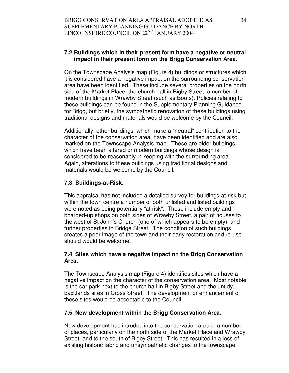# **7.2 Buildings which in their present form have a negative or neutral impact in their present form on the Brigg Conservation Area.**

On the Townscape Analysis map (Figure 4) buildings or structures which it is considered have a negative impact on the surrounding conservation area have been identified. These include several properties on the north side of the Market Place, the church hall in Bigby Street, a number of modern buildings in Wrawby Street (such as Boots). Policies relating to these buildings can be found in the Supplementary Planning Guidance for Brigg, but briefly, the sympathetic renovation of these buildings using traditional designs and materials would be welcome by the Council.

Additionally, other buildings, which make a "neutral" contribution to the character of the conservation area, have been identified and are also marked on the Townscape Analysis map. These are older buildings, which have been altered or modern buildings whose design is considered to be reasonably in keeping with the surrounding area. Again, alterations to these buildings using traditional designs and materials would be welcome by the Council.

# **7.3 Buildings-at-Risk.**

This appraisal has not included a detailed survey for buildings-at-risk but within the town centre a number of both unlisted and listed buildings were noted as being potentially "at risk". These include empty and boarded-up shops on both sides of Wrawby Street, a pair of houses to the west of St John's Church (one of which appears to be empty), and further properties in Bridge Street. The condition of such buildings creates a poor image of the town and their early restoration and re-use should would be welcome.

# **7.4 Sites which have a negative impact on the Brigg Conservation Area.**

The Townscape Analysis map (Figure 4) identifies sites which have a negative impact on the character of the conservation area. Most notable is the car park next to the church hall in Bigby Street and the untidy, backlands sites in Cross Street. The development or enhancement of these sites would be acceptable to the Council.

# **7.5 New development within the Brigg Conservation Area.**

New development has intruded into the conservation area in a number of places, particularly on the north side of the Market Place and Wrawby Street, and to the south of Bigby Street. This has resulted in a loss of existing historic fabric and unsympathetic changes to the townscape,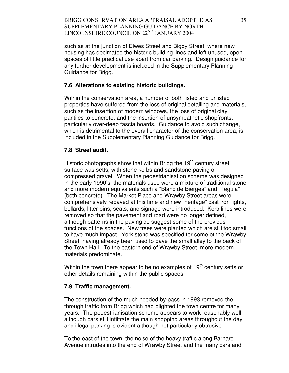such as at the junction of Elwes Street and Bigby Street, where new housing has decimated the historic building lines and left unused, open spaces of little practical use apart from car parking. Design guidance for any further development is included in the Supplementary Planning Guidance for Brigg.

## **7.6 Alterations to existing historic buildings.**

Within the conservation area, a number of both listed and unlisted properties have suffered from the loss of original detailing and materials, such as the insertion of modern windows, the loss of original clay pantiles to concrete, and the insertion of unsympathetic shopfronts, particularly over-deep fascia boards. Guidance to avoid such change, which is detrimental to the overall character of the conservation area, is included in the Supplementary Planning Guidance for Brigg.

### **7.8 Street audit.**

Historic photographs show that within Brigg the  $19<sup>th</sup>$  century street surface was setts, with stone kerbs and sandstone paving or compressed gravel. When the pedestrianisation scheme was designed in the early 1990's, the materials used were a mixture of traditional stone and more modern equivalents such a "Blanc de Bierges" and "Tegula" (both concrete). The Market Place and Wrawby Street areas were comprehensively repaved at this time and new "heritage" cast iron lights, bollards, litter bins, seats, and signage were introduced. Kerb lines were removed so that the pavement and road were no longer defined, although patterns in the paving do suggest some of the previous functions of the spaces. New trees were planted which are still too small to have much impact. York stone was specified for some of the Wrawby Street, having already been used to pave the small alley to the back of the Town Hall. To the eastern end of Wrawby Street, more modern materials predominate.

Within the town there appear to be no examples of  $19<sup>th</sup>$  century setts or other details remaining within the public spaces.

#### **7.9 Traffic management.**

The construction of the much needed by-pass in 1993 removed the through traffic from Brigg which had blighted the town centre for many years. The pedestrianisation scheme appears to work reasonably well although cars still infiltrate the main shopping areas throughout the day and illegal parking is evident although not particularly obtrusive.

To the east of the town, the noise of the heavy traffic along Barnard Avenue intrudes into the end of Wrawby Street and the many cars and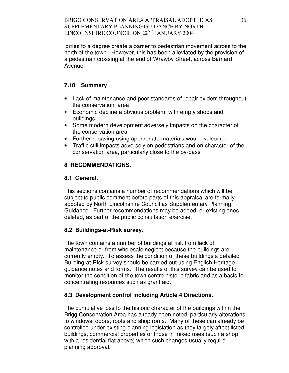lorries to a degree create a barrier to pedestrian movement across to the north of the town. However, this has been alleviated by the provision of a pedestrian crossing at the end of Wrawby Street, across Barnard Avenue.

# **7.10 Summary**

- Lack of maintenance and poor standards of repair evident throughout the conservation area
- Economic decline a obvious problem, with empty shops and buildings
- Some modern development adversely impacts on the character of the conservation area
- Further repaving using appropriate materials would welcomed
- Traffic still impacts adversely on pedestrians and on character of the conservation area, particularly close to the by-pass

# **8 RECOMMENDATIONS.**

# **8.1 General.**

This sections contains a number of recommendations which will be subject to public comment before parts of this appraisal are formally adopted by North Lincolnshire Council as Supplementary Planning Guidance. Further recommendations may be added, or existing ones deleted, as part of the public consultation exercise.

# **8.2 Buildings-at-Risk survey.**

The town contains a number of buildings at risk from lack of maintenance or from wholesale neglect because the buildings are currently empty. To assess the condition of these buildings a detailed Building-at-Risk survey should be carried out using English Heritage guidance notes and forms. The results of this survey can be used to monitor the condition of the town centre historic fabric and as a basis for concentrating resources such as grant aid.

# **8.3 Development control including Article 4 Directions.**

The cumulative loss to the historic character of the buildings within the Brigg Conservation Area has already been noted, particularly alterations to windows, doors, roofs and shopfronts. Many of these can already be controlled under existing planning legislation as they largely affect listed buildings, commercial properties or those in mixed uses (such a shop with a residential flat above) which such changes usually require planning approval.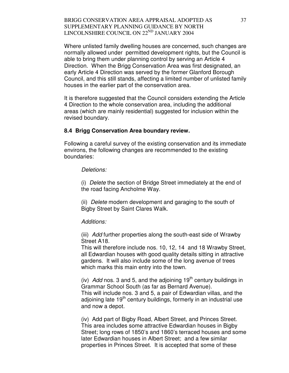Where unlisted family dwelling houses are concerned, such changes are normally allowed under permitted development rights, but the Council is able to bring them under planning control by serving an Article 4 Direction. When the Brigg Conservation Area was first designated, an early Article 4 Direction was served by the former Glanford Borough Council, and this still stands, affecting a limited number of unlisted family houses in the earlier part of the conservation area.

It is therefore suggested that the Council considers extending the Article 4 Direction to the whole conservation area, including the additional areas (which are mainly residential) suggested for inclusion within the revised boundary.

#### **8.4 Brigg Conservation Area boundary review.**

Following a careful survey of the existing conservation and its immediate environs, the following changes are recommended to the existing boundaries:

#### Deletions:

(i) Delete the section of Bridge Street immediately at the end of the road facing Ancholme Way.

(ii) Delete modern development and garaging to the south of Bigby Street by Saint Clares Walk.

#### Additions:

(iii) Add further properties along the south-east side of Wrawby Street A18.

This will therefore include nos. 10, 12, 14 and 18 Wrawby Street, all Edwardian houses with good quality details sitting in attractive gardens. It will also include some of the long avenue of trees which marks this main entry into the town.

(iv) Add nos. 3 and 5, and the adjoining  $19<sup>th</sup>$  century buildings in Grammar School South (as far as Bernard Avenue). This will include nos. 3 and 5, a pair of Edwardian villas, and the adjoining late  $19<sup>th</sup>$  century buildings, formerly in an industrial use and now a depot.

(iv) Add part of Bigby Road, Albert Street, and Princes Street. This area includes some attractive Edwardian houses in Bigby Street; long rows of 1850's and 1860's terraced houses and some later Edwardian houses in Albert Street; and a few similar properties in Princes Street. It is accepted that some of these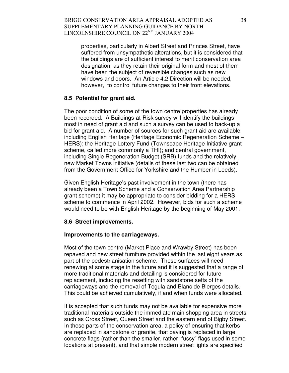properties, particularly in Albert Street and Princes Street, have suffered from unsympathetic alterations, but it is considered that the buildings are of sufficient interest to merit conservation area designation, as they retain their original form and most of them have been the subject of reversible changes such as new windows and doors. An Article 4.2 Direction will be needed, however, to control future changes to their front elevations.

### **8.5 Potential for grant aid.**

The poor condition of some of the town centre properties has already been recorded. A Buildings-at-Risk survey will identify the buildings most in need of grant aid and such a survey can be used to back-up a bid for grant aid. A number of sources for such grant aid are available including English Heritage (Heritage Economic Regeneration Scheme – HERS); the Heritage Lottery Fund (Townscape Heritage Initiative grant scheme, called more commonly a THI); and central government, including Single Regeneration Budget (SRB) funds and the relatively new Market Towns initiative (details of these last two can be obtained from the Government Office for Yorkshire and the Humber in Leeds).

Given English Heritage's past involvement in the town (there has already been a Town Scheme and a Conservation Area Partnership grant scheme) it may be appropriate to consider bidding for a HERS scheme to commence in April 2002. However, bids for such a scheme would need to be with English Heritage by the beginning of May 2001.

# **8.6 Street improvements.**

#### **Improvements to the carriageways.**

Most of the town centre (Market Place and Wrawby Street) has been repaved and new street furniture provided within the last eight years as part of the pedestrianisation scheme. These surfaces will need renewing at some stage in the future and it is suggested that a range of more traditional materials and detailing is considered for future replacement, including the resetting with sandstone setts of the carriageways and the removal of Tegula and Blanc de Bierges details. This could be achieved cumulatively, if and when funds were allocated.

It is accepted that such funds may not be available for expensive more traditional materials outside the immediate main shopping area in streets such as Cross Street, Queen Street and the eastern end of Bigby Street. In these parts of the conservation area, a policy of ensuring that kerbs are replaced in sandstone or granite, that paving is replaced in large concrete flags (rather than the smaller, rather "fussy" flags used in some locations at present), and that simple modern street lights are specified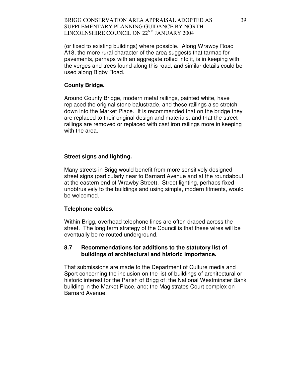(or fixed to existing buildings) where possible. Along Wrawby Road A18, the more rural character of the area suggests that tarmac for pavements, perhaps with an aggregate rolled into it, is in keeping with the verges and trees found along this road, and similar details could be used along Bigby Road.

#### **County Bridge.**

Around County Bridge, modern metal railings, painted white, have replaced the original stone balustrade, and these railings also stretch down into the Market Place. It is recommended that on the bridge they are replaced to their original design and materials, and that the street railings are removed or replaced with cast iron railings more in keeping with the area.

#### **Street signs and lighting.**

Many streets in Brigg would benefit from more sensitively designed street signs (particularly near to Barnard Avenue and at the roundabout at the eastern end of Wrawby Street). Street lighting, perhaps fixed unobtrusively to the buildings and using simple, modern fitments, would be welcomed.

#### **Telephone cables.**

Within Brigg, overhead telephone lines are often draped across the street. The long term strategy of the Council is that these wires will be eventually be re-routed underground.

#### **8.7 Recommendations for additions to the statutory list of buildings of architectural and historic importance.**

That submissions are made to the Department of Culture media and Sport concerning the inclusion on the list of buildings of architectural or historic interest for the Parish of Brigg of; the National Westminster Bank building in the Market Place, and; the Magistrates Court complex on Barnard Avenue.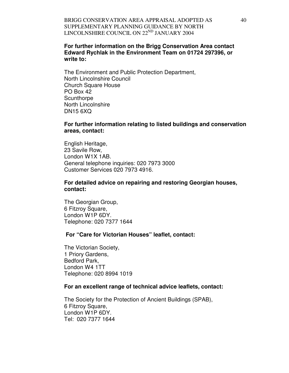### **For further information on the Brigg Conservation Area contact Edward Rychlak in the Environment Team on 01724 297396, or write to:**

The Environment and Public Protection Department, North Lincolnshire Council Church Square House PO Box 42 **Scunthorpe** North Lincolnshire DN15 6XQ

#### **For further information relating to listed buildings and conservation areas, contact:**

English Heritage, 23 Savile Row, London W1X 1AB. General telephone inquiries: 020 7973 3000 Customer Services 020 7973 4916.

#### **For detailed advice on repairing and restoring Georgian houses, contact:**

The Georgian Group, 6 Fitzroy Square, London W1P 6DY. Telephone: 020 7377 1644

#### **For "Care for Victorian Houses" leaflet, contact:**

The Victorian Society, 1 Priory Gardens, Bedford Park, London W4 1TT Telephone: 020 8994 1019

#### **For an excellent range of technical advice leaflets, contact:**

The Society for the Protection of Ancient Buildings (SPAB), 6 Fitzroy Square, London W1P 6DY. Tel: 020 7377 1644